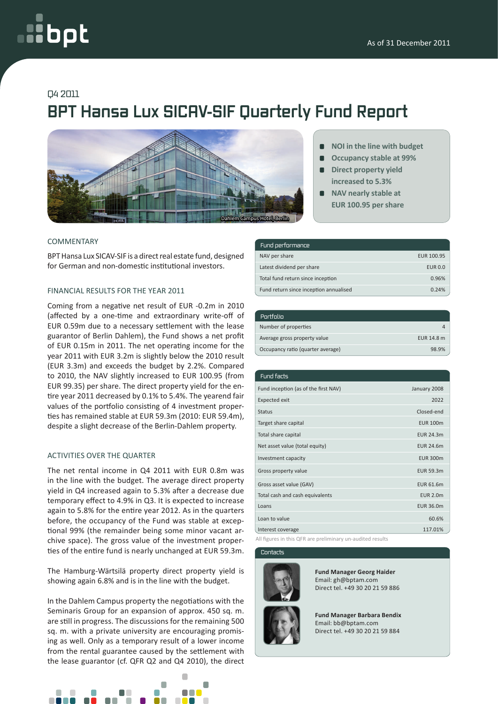# oct

## Q4 2011

# **BPT Hansa Lux SICAV-SIF Quarterly Fund Report**



#### COMMENTARY

BPT Hansa Lux SICAV-SIF is a direct real estate fund, designed for German and non-domestic institutional investors.

### FINANCIAL RESULTS FOR THE YEAR 2011

Coming from a negative net result of EUR -0.2m in 2010 (affected by a one-time and extraordinary write-off of EUR 0.59m due to a necessary settlement with the lease guarantor of Berlin Dahlem), the Fund shows a net profit of EUR 0.15m in 2011. The net operating income for the year 2011 with EUR 3.2m is slightly below the 2010 result (EUR 3.3m) and exceeds the budget by 2.2%. Compared to 2010, the NAV slightly increased to EUR 100.95 (from EUR 99.35) per share. The direct property yield for the entire year 2011 decreased by 0.1% to 5.4%. The yearend fair values of the portfolio consisting of 4 investment properties has remained stable at EUR 59.3m (2010: EUR 59.4m), despite a slight decrease of the Berlin-Dahlem property.

#### ACTIVITIES OVER THE QUARTER

The net rental income in Q4 2011 with EUR 0.8m was in the line with the budget. The average direct property yield in Q4 increased again to 5.3% after a decrease due temporary effect to 4.9% in Q3. It is expected to increase again to 5.8% for the entire year 2012. As in the quarters before, the occupancy of the Fund was stable at exceptional 99% (the remainder being some minor vacant archive space). The gross value of the investment properties of the entire fund is nearly unchanged at EUR 59.3m.

The Hamburg-Wärtsilä property direct property yield is showing again 6.8% and is in the line with the budget.

In the Dahlem Campus property the negotiations with the Seminaris Group for an expansion of approx. 450 sq. m. are still in progress. The discussions for the remaining 500 sq. m. with a private university are encouraging promising as well. Only as a temporary result of a lower income from the rental guarantee caused by the settlement with the lease guarantor (cf. QFR Q2 and Q4 2010), the direct



- **NOI in the line with budget**
- **Occupancy stable at 99%**  $\blacksquare$
- **Direct property yield increased to 5.3%**
- **NAV nearly stable at EUR 100.95 per share**

| Fund performance                       |                |
|----------------------------------------|----------------|
| NAV per share                          | EUR 100.95     |
| Latest dividend per share              | <b>EUR 0.0</b> |
| Total fund return since inception      | 0.96%          |
| Fund return since inception annualised | 0.24%          |

| :Portfolio                        |            |
|-----------------------------------|------------|
| Number of properties              |            |
| Average gross property value      | EUR 14.8 m |
| Occupancy ratio (quarter average) | 98.9%      |

| Fund facts                           |                  |
|--------------------------------------|------------------|
| Fund inception (as of the first NAV) | January 2008     |
| <b>Expected exit</b>                 | 2022             |
| <b>Status</b>                        | Closed-end       |
| Target share capital                 | <b>EUR 100m</b>  |
| Total share capital                  | <b>EUR 24.3m</b> |
| Net asset value (total equity)       | <b>EUR 24.6m</b> |
| Investment capacity                  | <b>EUR 300m</b>  |
| Gross property value                 | EUR 59.3m        |
| Gross asset value (GAV)              | <b>EUR 61.6m</b> |
| Total cash and cash equivalents      | <b>EUR 2.0m</b>  |
| Loans                                | EUR 36.0m        |
| Loan to value                        | 60.6%            |
| Interest coverage                    | 117.01%          |

All figures in this QFR are preliminary un-audited results

#### **Contacts**



**Fund Manager Georg Haider** Email: gh@bptam.com Direct tel. +49 30 20 21 59 886

**Fund Manager Barbara Bendix** Email: bb@bptam.com Direct tel. +49 30 20 21 59 884